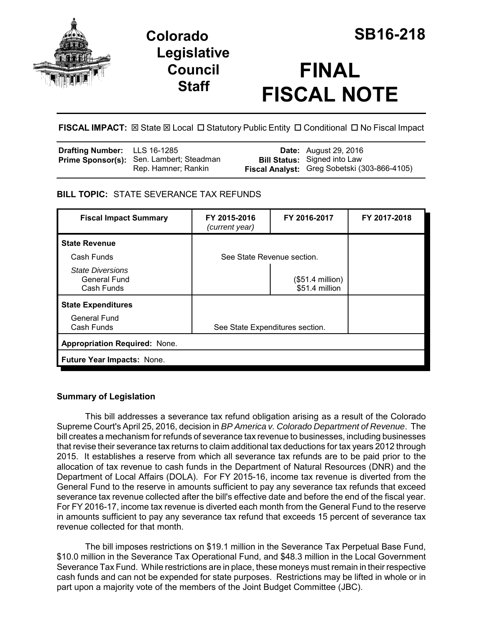

**Colorado SB16-218 Legislative Council Staff**

# **FINAL FISCAL NOTE**

FISCAL IMPACT:  $\boxtimes$  State  $\boxtimes$  Local  $\Box$  Statutory Public Entity  $\Box$  Conditional  $\Box$  No Fiscal Impact

| <b>Drafting Number:</b> LLS 16-1285 |                                                                 | <b>Date:</b> August 29, 2016                                                        |
|-------------------------------------|-----------------------------------------------------------------|-------------------------------------------------------------------------------------|
|                                     | Prime Sponsor(s): Sen. Lambert; Steadman<br>Rep. Hamner; Rankin | <b>Bill Status:</b> Signed into Law<br>Fiscal Analyst: Greg Sobetski (303-866-4105) |

# **BILL TOPIC:** STATE SEVERANCE TAX REFUNDS

| <b>Fiscal Impact Summary</b>                                 | FY 2015-2016<br>(current year)  | FY 2016-2017                        | FY 2017-2018 |  |  |
|--------------------------------------------------------------|---------------------------------|-------------------------------------|--------------|--|--|
| <b>State Revenue</b>                                         |                                 |                                     |              |  |  |
| Cash Funds                                                   | See State Revenue section.      |                                     |              |  |  |
| <b>State Diversions</b><br><b>General Fund</b><br>Cash Funds |                                 | $($51.4$ million)<br>\$51.4 million |              |  |  |
| <b>State Expenditures</b>                                    |                                 |                                     |              |  |  |
| <b>General Fund</b><br>Cash Funds                            | See State Expenditures section. |                                     |              |  |  |
| <b>Appropriation Required: None.</b>                         |                                 |                                     |              |  |  |
| Future Year Impacts: None.                                   |                                 |                                     |              |  |  |

# **Summary of Legislation**

This bill addresses a severance tax refund obligation arising as a result of the Colorado Supreme Court's April 25, 2016, decision in *BP America v. Colorado Department of Revenue*. The bill creates a mechanism for refunds of severance tax revenue to businesses, including businesses that revise their severance tax returns to claim additional tax deductions for tax years 2012 through 2015. It establishes a reserve from which all severance tax refunds are to be paid prior to the allocation of tax revenue to cash funds in the Department of Natural Resources (DNR) and the Department of Local Affairs (DOLA). For FY 2015-16, income tax revenue is diverted from the General Fund to the reserve in amounts sufficient to pay any severance tax refunds that exceed severance tax revenue collected after the bill's effective date and before the end of the fiscal year. For FY 2016-17, income tax revenue is diverted each month from the General Fund to the reserve in amounts sufficient to pay any severance tax refund that exceeds 15 percent of severance tax revenue collected for that month.

The bill imposes restrictions on \$19.1 million in the Severance Tax Perpetual Base Fund, \$10.0 million in the Severance Tax Operational Fund, and \$48.3 million in the Local Government Severance Tax Fund. While restrictions are in place, these moneys must remain in their respective cash funds and can not be expended for state purposes. Restrictions may be lifted in whole or in part upon a majority vote of the members of the Joint Budget Committee (JBC).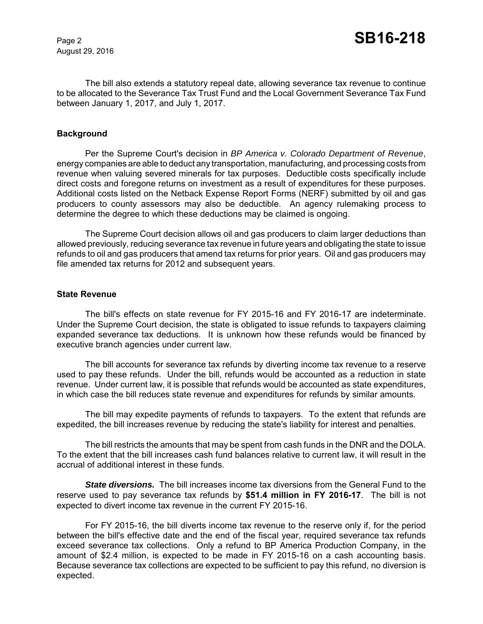August 29, 2016

The bill also extends a statutory repeal date, allowing severance tax revenue to continue to be allocated to the Severance Tax Trust Fund and the Local Government Severance Tax Fund between January 1, 2017, and July 1, 2017.

#### **Background**

Per the Supreme Court's decision in *BP America v. Colorado Department of Revenue*, energy companies are able to deduct any transportation, manufacturing, and processing costs from revenue when valuing severed minerals for tax purposes. Deductible costs specifically include direct costs and foregone returns on investment as a result of expenditures for these purposes. Additional costs listed on the Netback Expense Report Forms (NERF) submitted by oil and gas producers to county assessors may also be deductible. An agency rulemaking process to determine the degree to which these deductions may be claimed is ongoing.

The Supreme Court decision allows oil and gas producers to claim larger deductions than allowed previously, reducing severance tax revenue in future years and obligating the state to issue refunds to oil and gas producers that amend tax returns for prior years. Oil and gas producers may file amended tax returns for 2012 and subsequent years.

#### **State Revenue**

The bill's effects on state revenue for FY 2015-16 and FY 2016-17 are indeterminate. Under the Supreme Court decision, the state is obligated to issue refunds to taxpayers claiming expanded severance tax deductions. It is unknown how these refunds would be financed by executive branch agencies under current law.

The bill accounts for severance tax refunds by diverting income tax revenue to a reserve used to pay these refunds. Under the bill, refunds would be accounted as a reduction in state revenue. Under current law, it is possible that refunds would be accounted as state expenditures, in which case the bill reduces state revenue and expenditures for refunds by similar amounts.

The bill may expedite payments of refunds to taxpayers. To the extent that refunds are expedited, the bill increases revenue by reducing the state's liability for interest and penalties.

The bill restricts the amounts that may be spent from cash funds in the DNR and the DOLA. To the extent that the bill increases cash fund balances relative to current law, it will result in the accrual of additional interest in these funds.

*State diversions.* The bill increases income tax diversions from the General Fund to the reserve used to pay severance tax refunds by **\$51.4 million in FY 2016-17**. The bill is not expected to divert income tax revenue in the current FY 2015-16.

For FY 2015-16, the bill diverts income tax revenue to the reserve only if, for the period between the bill's effective date and the end of the fiscal year, required severance tax refunds exceed severance tax collections. Only a refund to BP America Production Company, in the amount of \$2.4 million, is expected to be made in FY 2015-16 on a cash accounting basis. Because severance tax collections are expected to be sufficient to pay this refund, no diversion is expected.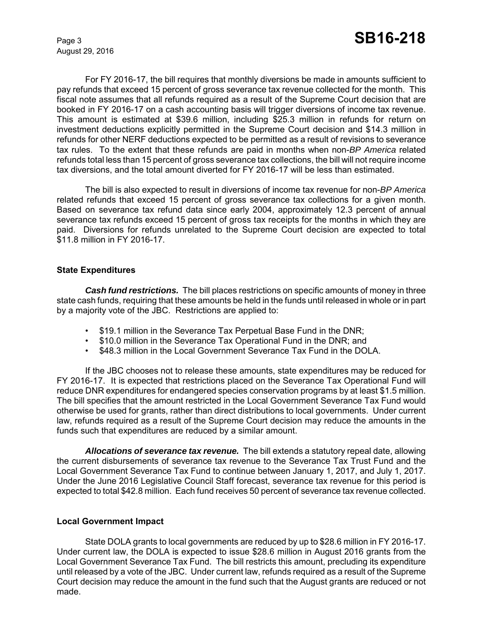August 29, 2016

For FY 2016-17, the bill requires that monthly diversions be made in amounts sufficient to pay refunds that exceed 15 percent of gross severance tax revenue collected for the month. This fiscal note assumes that all refunds required as a result of the Supreme Court decision that are booked in FY 2016-17 on a cash accounting basis will trigger diversions of income tax revenue. This amount is estimated at \$39.6 million, including \$25.3 million in refunds for return on investment deductions explicitly permitted in the Supreme Court decision and \$14.3 million in refunds for other NERF deductions expected to be permitted as a result of revisions to severance tax rules. To the extent that these refunds are paid in months when non-*BP America* related refunds total less than 15 percent of gross severance tax collections, the bill will not require income tax diversions, and the total amount diverted for FY 2016-17 will be less than estimated.

The bill is also expected to result in diversions of income tax revenue for non-*BP America* related refunds that exceed 15 percent of gross severance tax collections for a given month. Based on severance tax refund data since early 2004, approximately 12.3 percent of annual severance tax refunds exceed 15 percent of gross tax receipts for the months in which they are paid. Diversions for refunds unrelated to the Supreme Court decision are expected to total \$11.8 million in FY 2016-17.

#### **State Expenditures**

*Cash fund restrictions.* The bill places restrictions on specific amounts of money in three state cash funds, requiring that these amounts be held in the funds until released in whole or in part by a majority vote of the JBC. Restrictions are applied to:

- \$19.1 million in the Severance Tax Perpetual Base Fund in the DNR;
- \$10.0 million in the Severance Tax Operational Fund in the DNR; and
- \$48.3 million in the Local Government Severance Tax Fund in the DOLA.

If the JBC chooses not to release these amounts, state expenditures may be reduced for FY 2016-17. It is expected that restrictions placed on the Severance Tax Operational Fund will reduce DNR expenditures for endangered species conservation programs by at least \$1.5 million. The bill specifies that the amount restricted in the Local Government Severance Tax Fund would otherwise be used for grants, rather than direct distributions to local governments. Under current law, refunds required as a result of the Supreme Court decision may reduce the amounts in the funds such that expenditures are reduced by a similar amount.

*Allocations of severance tax revenue.* The bill extends a statutory repeal date, allowing the current disbursements of severance tax revenue to the Severance Tax Trust Fund and the Local Government Severance Tax Fund to continue between January 1, 2017, and July 1, 2017. Under the June 2016 Legislative Council Staff forecast, severance tax revenue for this period is expected to total \$42.8 million. Each fund receives 50 percent of severance tax revenue collected.

#### **Local Government Impact**

State DOLA grants to local governments are reduced by up to \$28.6 million in FY 2016-17. Under current law, the DOLA is expected to issue \$28.6 million in August 2016 grants from the Local Government Severance Tax Fund. The bill restricts this amount, precluding its expenditure until released by a vote of the JBC. Under current law, refunds required as a result of the Supreme Court decision may reduce the amount in the fund such that the August grants are reduced or not made.